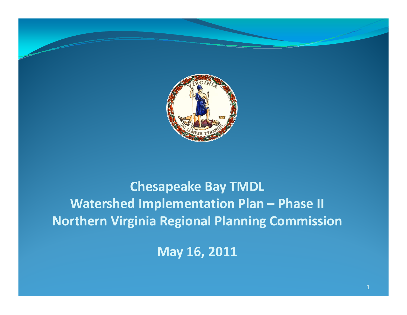

# **Chesapeake Bay TMDL Watershed Implementation Plan – Phase II Northern Virginia Regional Planning Commission**

**May 16, 2011 y**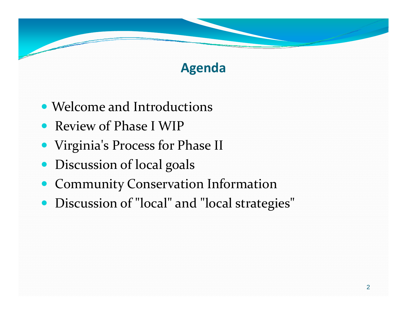# **Agenda**

- Welcome and Introductions
- Review of Phase I WIP
- Virginia's Process for Phase II
- $\bullet$ **•** Discussion of local goals
- $\bullet$ Community Conservation Information
- $\bullet$ Discussion of "local" and "local strategies"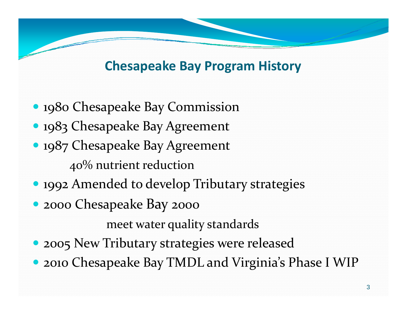### **Chesapeake Bay Program History**

- 1980 Chesapeake Bay Commission • 1983 Chesapeake Bay Agreement • 1987 Chesapeake Bay Agreement 40% nutrient reduction • 1992 Amended to develop Tributary strategies
- <sup>2000</sup> Chesapeake Bay <sup>2000</sup>

meet water quality standards

- 2005 New Tributary strategies were released
- <sup>2010</sup> Chesapeake Bay TMDL and Virginia's Phase <sup>I</sup> WIP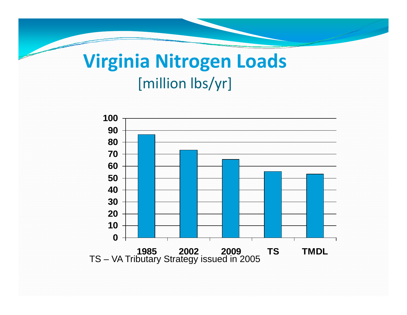# **Virginia Nitrogen Loads** [million lbs/yr]

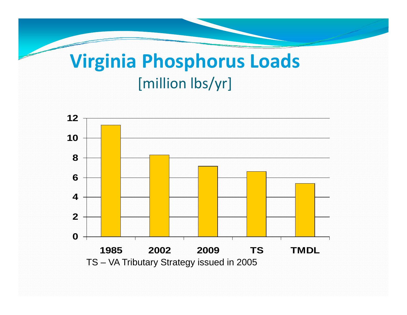# **Virginia Phosphorus Loads** [million lbs/yr]

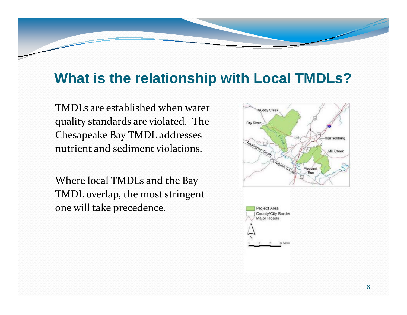# **What is the relationship with Local TMDLs?**

TMDLs are established when water quality standards are violated. The Chesapeake Bay TMDL addresses nutrient and sediment violations.

Where local TMDLs and the Bay TMDL overlap, the most stringent one will take precedence.

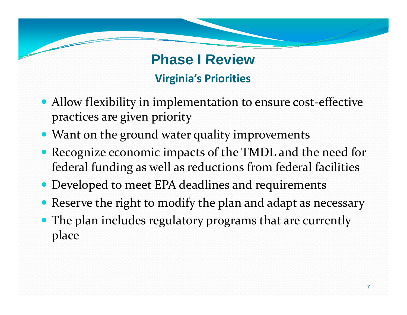# **Phase I Review Phase I Virginia's Priorities**

- Allow flexibility in implementation to ensure cost-effective practices are given priority
- Want on the ground water quality improvements
- Recognize economic impacts of the TMDL and the need for federal funding as well as reductions from federal facilities
- Developed to meet EPA deadlines and requirements
- Reserve the right to modify the plan and adapt as necessary
- $\bullet$  The plan includes regulatory programs that are currently place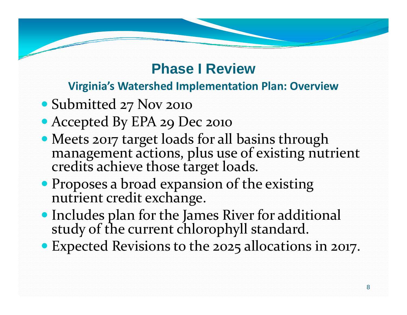#### **Virginia's Watershed Implementation Plan: Overview**

- Submitted 27 Nov <sup>2010</sup>
- Accepted By EPA 29 Dec <sup>2010</sup>
- Meets <sup>2017</sup> target loads for all basins through management actions, plus use of existing nutrient achieve those target loads.
- Proposes <sup>a</sup> broad expansion of the existing nutrient credit exchange.
- Includes <sup>p</sup>lan for the James River for additional study of the current chlorophyll standard.
- Expected Revisions to the 2025 allocations in 2017.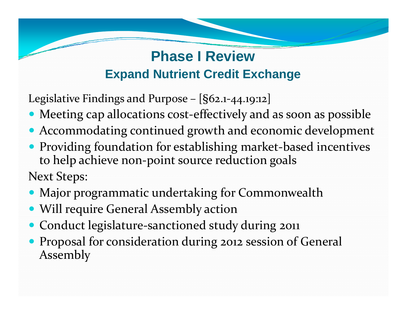# **Phase I Review Expand Nutrient Credit Exchange**

Legislative Findings and Purpose –  $[§62.1-44.19:12]$ 

- Meeting cap allocations cost-effectively and as soon as possible
- Accommodating continued growth and economic development
- $\bullet$  Providing foundation for establishing market‐based incentives to help achieve non‐point source reduction goals Next Steps:
- Major programmatic undertaking for Commonwealth
- Will require General Assembly action
- Conduct legislature-sanctioned study during 2011
- Proposal for consideration during <sup>2012</sup> session of General Assembly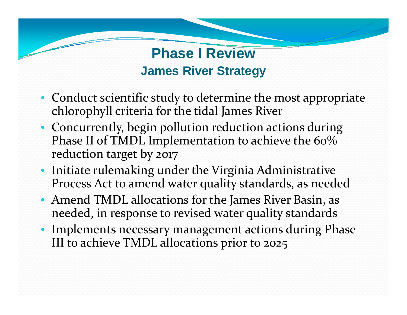# **Phase I Review James River Strategy**

- Conduct scientific study to determine the most appropriate chlorophyll criteria for the tidal James River
- Concurrently, begin pollution reduction actions during Phase II of TMDL Implementation to achieve the 60% reduction target by <sup>2017</sup>
- Initiate rulemaking under the Virginia Administrative Process Act to amend water quality standards, as needed
- Amend TMDL allocations for the James River Basin, as needed, in response to revised water quality standards
- Implements necessary managemen<sup>t</sup> actions during Phase III to achieve TMDL allocations prior to 2025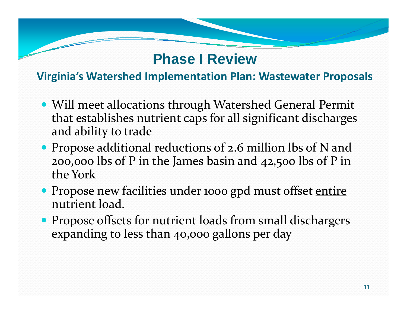#### **Virginia's Watershed Implementation Plan: Wastewater Proposals**

- Will meet allocations through Watershed General Permit that establishes nutrient caps for all significant discharges and ability to trade
- Propose additional reductions of 2.6 million lbs of N and 200,000 lbs of P in the James basin and 42,500 lbs of P in the York
- Propose new facilities under 1000 gpd must offset entire nutrient load.
- Propose offsets for nutrient loads from small dischargers expanding to less than 40,000 gallons per day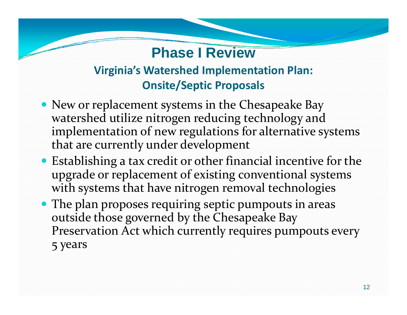#### **Virginia's Watershed Implementation Plan: Onsite/Septic Proposals**

- New or replacement systems in the Chesapeake Bay watershed utilize nitrogen reducing technology and implementation of new regulations for alternative systems that are currently under development
- Establishing <sup>a</sup> tax credit or other financial incentive for the upgrade or replacement of existing conventional systems with systems that have nitrogen removal technologies
- The plan proposes requiring septic pumpouts in areas outside those governed by the Chesapeake Bay Preservation Act which currently requires pumpouts every 5 years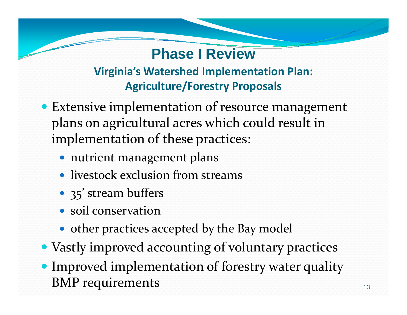### **Virginia's Watershed Implementation Plan: Agriculture/Forestry Proposals**

- Extensive implementation of resource managemen<sup>t</sup> plans on agricultural acres which could result in implementation of these practices:
	- nutrient managemen<sup>t</sup> plans
	- livestock exclusion from streams
	- 35' stream buffers
	- soil conservation
	- other practices accepted by the Bay model
- Vastly improved accounting of voluntary practices
- Improved implementation of forestry water quality BMP requirements 13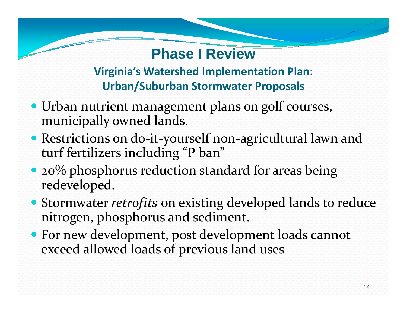#### **Virginia's Watershed Implementation Plan: Urban/Suburban Stormwater Proposals**

- Urban nutrient managemen<sup>t</sup> plans on golf courses, municipally owned lands.
- Restrictions on do‐it‐yourself non‐agricultural lawn and turf fertilizers including "P ban"
- $\bullet$  20% phosphorus reduction standard for areas being redeveloped.
- Stormwater *retrofits* on existing developed lands to reduce nitrogen, phosphorus and sediment.
- For new development, pos<sup>t</sup> development loads cannot exceed allowed loads of previous land uses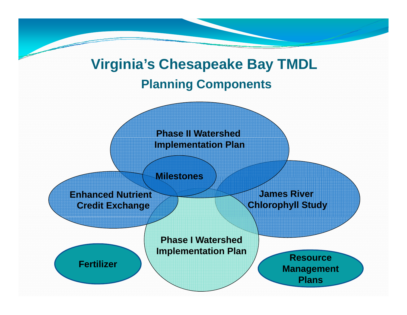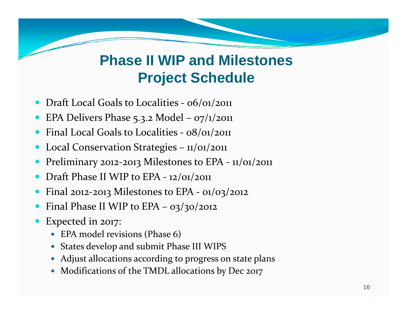# **Phase II WIP and Milestones Project Schedule**

- 0 • Draft Local Goals to Localities - 06/01/2011
- 0 • EPA Delivers Phase 5.3.2 Model – 07/1/2011
- 0 • Final Local Goals to Localities - 08/01/2011
- 0 • Local Conservation Strategies - 11/01/2011
- 0 • Preliminary 2012-2013 Milestones to EPA - 11/01/2011
- 0 • Draft Phase II WIP to EPA - 12/01/2011
- 0 • Final 2012-2013 Milestones to EPA - 01/03/2012
- 0 • Final Phase II WIP to EPA – 03/30/2012
- 0 Expected in 2017:
	- EPA model revisions (Phase 6)
	- States develop and submit Phase III WIPS
	- Adjust allocations according to progress on state plans
	- Modifications of the TMDL allocations by Dec 2017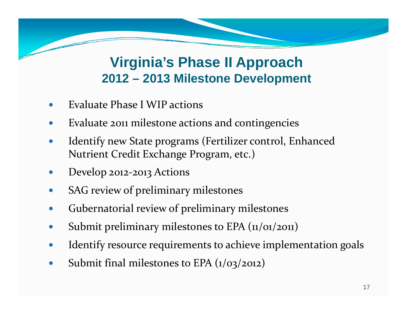# **Vi i i ' Ph II A h Virginia's Phase Approac 2012 – 2013 Milestone Development**

- 0 Evaluate Phase I WIP actions
- 0 Evaluate <sup>2011</sup> milestone actions and contingencies
- 0 • Identify new State programs (Fertilizer control, Enhanced Nutrient Credit Exchange Program, etc.)
- $\bullet$ • Develop 2012-2013 Actions
- $\bullet$ SAG review of preliminary milestones
- 0 Gubernatorial review of preliminary milestones
- 0 Submit preliminary milestones to EPA (11/01/2011)
- 0 Identify resource requirements to achieve implementation goals
- 0 • Submit final milestones to EPA (1/03/2012)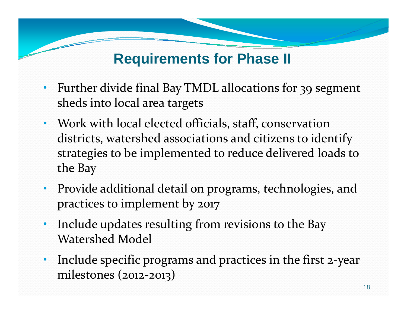# **Requirements for Phase II**

- • Further divide final Bay TMDL allocations for 39 segmen<sup>t</sup> sheds into local area targets
- • Work with local elected officials, staff, conservation districts, watershed associations and citizens to identify strategies to be implemented to reduce delivered loads to the Bay
- • Provide additional detail on programs, technologies, and practices to implement by <sup>2017</sup>
- • Include updates resulting from revisions to the Bay Watershed Model
- Include specific programs and practices in the first 2-year •milestones (2012 ‐2013)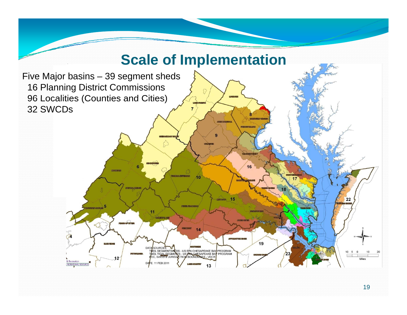

19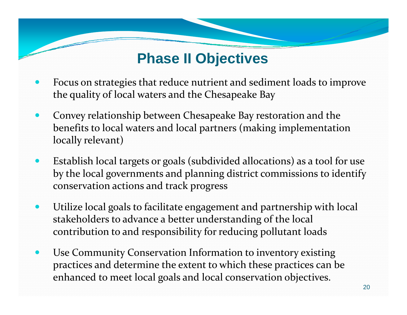# **Phase II Objectives**

- $\bullet$  Focus on strategies that reduce nutrient and sediment loads to improve the quality of local waters and the Chesapeake Bay
- $\bullet$  Convey relationship between Chesapeake Bay restoration and the benefits to local waters and local partners (making implementation locally relevant)
- $\bullet$  Establish local targets or goals (subdivided allocations) as <sup>a</sup> tool for use by the local governments and planning district commissions to identify conservation actions and track progress
- $\bullet$  Utilize local goals to facilitate engagemen<sup>t</sup> and partnership with local stakeholders to advance a better understanding of the local contribution to and responsibility for reducing pollutant loads
- $\bullet$  Use Community Conservation Information to inventory existing practices and determine the extent to which these practices can be enhanced to meet local goals and local conservation objectives.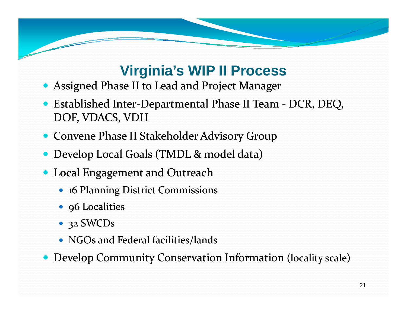# **Virginia's WIP II Process**

- $\bullet$ Assigned Phase II to Lead and Project Manager
- $\bullet$ ● Established Inter-Departmental Phase II Team DCR, DEQ, DOF, VDACS, VDH
- Convene Phase II Stakeholder Advisory Group
- Develop Local Goals (TMDL & model data)
- Local Engagement and Outreach
	- 16 Planning District Commissions
	- 96 Localities
	- 32 SWCDs
	- NGOs and Federal facilities/lands
- $\bullet$ • Develop Community Conservation Information (locality scale)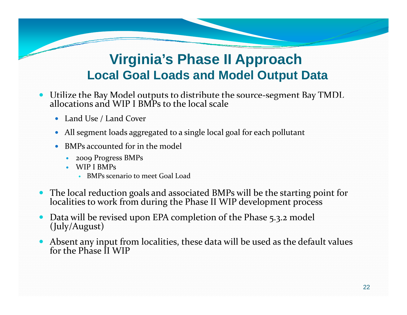# **Virginia s' Phase II Approach Local Goal Loads and Model Output Data**

- Utilize the Bay Model outputs to distribute the source-segment Bay TMDL allocations and WIP I BMPs to the local scale and WIP I BMPs to the local scale
	- Land Use / Land Cover
	- All segmen<sup>t</sup> loads aggregated to <sup>a</sup> single local goal for each pollutant
	- 0 • BMPs accounted for in the model
		- 2009 Progress BMPs
		- WIP I BMPs
			- BMPs scenario to meet Goal Load
- The local reduction goals and associated BMPs will be the starting point for localities to work from during the Phase II WIP development process to work from during the Phase II WIP development process
- $\bullet$ • Data will be revised upon EPA completion of the Phase 5.3.2 model (July/August)
- Absent any input from localities, these data will be used as the default values for the Phase II WIP the Phase II WIP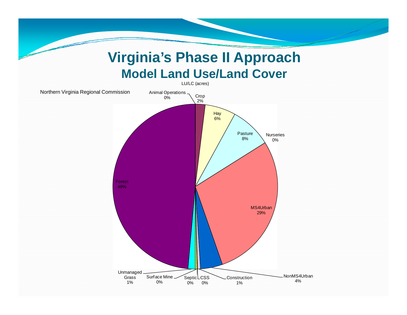### **Virginia s' Phase II Approach Model Land Use/Land Cover**

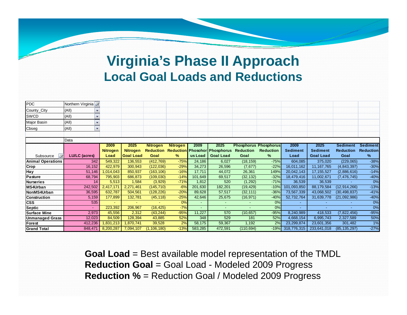### **Vi i i ' Ph II A h Virginia's Phase Approac Local Goal Loads and Reductions**

| <b>PDC</b>               | Northern Virginia     |                 |                  |                  |                 |         |                                      |                  |                              |                 |                  |                  |                  |
|--------------------------|-----------------------|-----------------|------------------|------------------|-----------------|---------|--------------------------------------|------------------|------------------------------|-----------------|------------------|------------------|------------------|
| County_City              | (A  )                 |                 |                  |                  |                 |         |                                      |                  |                              |                 |                  |                  |                  |
| <b>SWCD</b>              | (AII)<br>$\mathbf{v}$ |                 |                  |                  |                 |         |                                      |                  |                              |                 |                  |                  |                  |
| <b>Major Basin</b>       | (A  )<br>$\mathbf{v}$ |                 |                  |                  |                 |         |                                      |                  |                              |                 |                  |                  |                  |
| Cbseg                    | (A  )<br>$\mathbf{v}$ |                 |                  |                  |                 |         |                                      |                  |                              |                 |                  |                  |                  |
|                          |                       |                 |                  |                  |                 |         |                                      |                  |                              |                 |                  |                  |                  |
|                          | Data                  |                 |                  |                  |                 |         |                                      |                  |                              |                 |                  |                  |                  |
|                          |                       | 2009            | 2025             | <b>Nitrogen</b>  | <b>Nitrogen</b> | 2009    | 2025                                 |                  | <b>Phosphorus Phosphorus</b> | 2009            | 2025             | <b>Sediment</b>  | <b>Sediment</b>  |
|                          |                       | <b>Nitrogen</b> | <b>Nitrogen</b>  | <b>Reduction</b> |                 |         | <b>Reduction Phosohor Phosphorus</b> | <b>Reduction</b> | <b>Reduction</b>             | <b>Sediment</b> | <b>Sediment</b>  | <b>Reduction</b> | <b>Reduction</b> |
| $\sqrt{2}$<br>Subsource  | <b>LU/LC (acres)</b>  | Load            | <b>Goal Load</b> | Goal             | %               | us Load | <b>Goal Load</b>                     | Goal             | ℅                            | Load            | <b>Goal Load</b> | Goal             | ℅                |
| <b>Animal Operations</b> | 342                   | 549,322         | 136,553          | (412, 769)       | $-75%$          | 24,186  | 6,027                                | (18, 159)        | $-75%$                       | 604,085         | 375,020          | (229, 065)       | $-38%$           |
| Crop                     | 16,152                | 422,979         | 300,943          | (122, 036)       | $-29%$          | 34,273  | 26,596                               | (7,677)          | $-22%$                       | 16,011,162      | 11, 167, 765     | (4, 843, 397)    | $-30%$           |
| Hay                      | 51,146                | ,014,043        | 850,937          | (163, 106)       | $-16%$          | 17,711  | 44,072                               | 26,361           | 149%                         | 20,042,143      | 17, 155, 527     | (2,886,616)      | $-14%$           |
| Pasture                  | 68,794                | 795.903         | 686,873          | (109, 030)       | $-14%$          | 101,649 | 69,517                               | (32, 132)        | $-32%$                       | 18,479,416      | 11,002,671       | (7, 476, 745)    | $-40%$           |
| <b>Nurseries</b>         | 14                    | 5,513           | 1,584            | (3,929)          | $-71%$          | 1,812   | 520                                  | (1, 292)         | $-71%$                       | 36,539          | 36,539           |                  | 0%               |
| MS4Urban                 | 242,502               | 2.417.171       | 2,271,461        | (145, 710)       | $-6%$           | 201,630 | 182,201                              | (19, 429)        | $-10%$                       | 101,093,850     | 88,179,584       | (12, 914, 266)   | $-13%$           |
| NonMS4Urban              | 36,595                | 632,787         | 504,561          | (128, 226)       | $-20%$          | 89,628  | 57,517                               | (32, 111)        | $-36%$                       | 73,567,339      | 43,068,502       | (30, 498, 837)   | $-41%$           |
| <b>Construction</b>      | 5,159                 | 177,899         | 132,781          | (45, 118)        | $-25%$          | 42,646  | 25,675                               | (16, 971)        | $-40%$                       | 52,732,764      | 31,639,778       | (21,092,986)     | $-40%$           |
| <b>CSS</b>               | 535                   |                 |                  |                  | 0%              |         | $\overline{\phantom{a}}$             |                  | 0%                           |                 |                  |                  | 0%               |
| <b>Septic</b>            |                       | 223,392         | 206,967          | (16, 425)        | $-7%$           |         | $\overline{\phantom{a}}$             |                  | 0%                           |                 |                  |                  | 0%               |
| <b>Surface Mine</b>      | 2,973                 | 45,556          | 2,312            | (43, 244)        | $-95%$          | 11,227  | 570                                  | (10, 657)        | $-95%$                       | 8,240,989       | 418,533          | (7,822,456)      | $-95%$           |
| Unmanaged Grass          | 12,023                | 84,509          | 128,394          | 43,885           | 52%             | 348     | 529                                  | 181              | 52%                          | 4,668,154       | 6,995,743        | 2,327,589        | 50%              |
| Forest                   | 412,236               | ,831,213        | ,870,741         | 39,528           | 2%              | 58,175  | 59,367                               | 1,192            | 2%                           | 23,299,874      | 23,601,356       | 301,482          | 1%               |
| <b>Grand Total</b>       | 848.471               | 8,200,287       | 7,094,107        | (1, 106, 180)    | $-13%$          | 583,285 | 472,591                              | (110, 694)       | $-19%$                       | 318,776,315     | 233,641,018      | (85, 135, 297)   | $-27%$           |

**Goal Load** = Best available model representation of the TMDL **Reduction Goal** = Goal Load - Modeled 2009 Progress **Reduction %** = Reduction Goal / Modeled 2009 Progress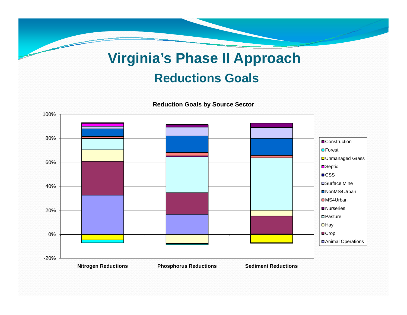# **Virginia s' Phase II Approach Reductions Goals**

80%100%60%■Construction **D**Forest **□ Unmanaged Grass** ■Septic **■CSS** 20%40% $\%$   $\qquad \qquad$   $\qquad \qquad$   $\qquad \qquad$   $\qquad$   $\qquad \qquad$   $\qquad$   $\qquad$   $\qquad$   $\qquad$   $\qquad$   $\qquad$   $\qquad$   $\qquad$   $\qquad$   $\qquad$   $\qquad$   $\qquad$   $\qquad$   $\qquad$   $\qquad$   $\qquad$   $\qquad$   $\qquad$   $\qquad$   $\qquad$   $\qquad$   $\qquad$   $\qquad$   $\qquad$   $\qquad$   $\qquad$   $\qquad$   $\qquad$   $\qquad$  ■NonMS4Urban ■MS4Urban **Nurseries D**Pasture 20%-20%0% $\Box$ Hay ■Crop ■Animal Operations **Nitrogen Reductions Phosphorus Reductions Sediment Reductions**

**Reduction Goals by Source Sector**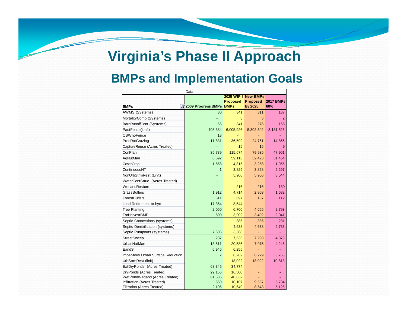# **Virginia s' Phase II Approach**

#### **BMPs and Implementation Goals**

|                                    | Data                            |                     |           |                  |  |  |
|------------------------------------|---------------------------------|---------------------|-----------|------------------|--|--|
|                                    |                                 | 2025 WIP I New BMPs |           |                  |  |  |
|                                    |                                 | Proposed            | Proposed  | <b>2017 BMPs</b> |  |  |
| <b>BMPs</b>                        | <b>T2009 Progress BMPs BMPs</b> |                     | by 2025   | 60%              |  |  |
| <b>AWMS (Systems)</b>              | 30                              | 341                 | 311       | 187              |  |  |
| MortalityComp (Systems)            |                                 | 3                   | 3         | $\overline{2}$   |  |  |
| BarnRunoffCont (Systems)           | 65                              | 341                 | 276       | 166              |  |  |
| PastFence(Linft)                   | 703,384                         | 6,005,926           | 5,302,542 | 3,181,525        |  |  |
| <b>OSWnoFence</b>                  | 18                              |                     |           |                  |  |  |
| PrecRotGrazing                     | 11,831                          | 36,592              | 24,761    | 14,856           |  |  |
| CaptureReuse (Acres Treated)       |                                 | 15                  | 15        | 9                |  |  |
| ConPlan                            | 35,739                          | 115,674             | 79,935    | 47,961           |  |  |
| AgNutMan                           | 6,692                           | 59,116              | 52,423    | 31,454           |  |  |
| CoverCrop                          | 1,558                           | 4,815               | 3,258     | 1,955            |  |  |
| ContinuousNT                       | $\mathbf{1}$                    | 3,829               | 3,828     | 2,297            |  |  |
| NonUrbStrmRest (Linft)             |                                 | 5,906               | 5,906     | 3,544            |  |  |
| WaterContStruc (Acres Treated)     |                                 |                     |           |                  |  |  |
| WetlandRestore                     |                                 | 216                 | 216       | 130              |  |  |
| <b>GrassBuffers</b>                | 1,912                           | 4,714               | 2,803     | 1,682            |  |  |
| <b>ForestBuffers</b>               | 511                             | 697                 | 187       | 112              |  |  |
| Land Retirement to hyo             | 17,364                          | 8,544               |           |                  |  |  |
| <b>Tree Planting</b>               | 2,050                           | 6,706               | 4,655     | 2,793            |  |  |
| ForHarvestBMP                      | 500                             | 3,902               | 3,402     | 2,041            |  |  |
| Septic Connections (systems)       |                                 | 385                 | 385       | 231              |  |  |
| Septic Denitrification (systems)   |                                 | 4,638               | 4,638     | 2,783            |  |  |
| Septic Pumpouts (systems)          | 7,606                           | 3,368               |           |                  |  |  |
| <b>StreetSweep</b>                 | 237                             | 7,535               | 7,298     | 4,379            |  |  |
| <b>UrbanNutMan</b>                 | 13,511                          | 20,586              | 7,075     | 4,245            |  |  |
| EandS                              | 6,946                           | 6,255               |           |                  |  |  |
| Impervious Urban Surface Reduction | $\overline{2}$                  | 6,282               | 6,279     | 3,768            |  |  |
| UrbStrmRest (linft)                |                                 | 18,022              | 18,022    | 10,813           |  |  |
| ExtDryPonds (Acres Treated)        | 68,345                          | 34,774              |           |                  |  |  |
| DryPonds (Acres Treated)           | 29,156                          | 16,500              |           |                  |  |  |
| WetPondWetland (Acres Treated)     | 61,536                          | 40,832              |           |                  |  |  |
| Infiltration (Acres Treated)       | 550                             | 10,107              | 9,557     | 5,734            |  |  |
| <b>Filtration (Acres Treated)</b>  | 2,105                           | 10,649              | 8,543     | 5,126            |  |  |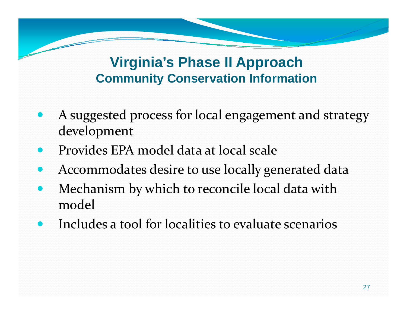# **Vi i i ' Ph II A h Virginia's Phase Approac Community Conservation Information**

- $\bullet$ A suggested process for local engagemen<sup>t</sup> and strategy develo pment
- $\bullet$ Provides EPA model data at local scale
- $\bullet$ Accommodates desire to use locally generated data
- $\bullet$  Mechanism by which to reconcile local data with model
- $\bullet$ Includes a tool for localities to evaluate scenarios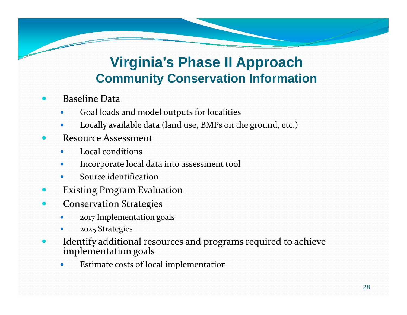# **Vi i i ' Ph II A h Virginia's Phase Approac Community Conservation Information**

- 0 Baseline Data
	- $\bullet$ Goal loads and model outputs for localities
	- $\bullet$ Locally available data (land use, BMPs on the ground, etc.)
- 0 Resource Assessment
	- $\bullet$ Local conditions
	- $\bullet$ Incorporate local data into assessment tool
	- $\bullet$ Source identification
- 0 Existing Program Evaluation
- 0 **•** Conservation Strategies
	- 0 <sup>2017</sup> Implementation goals
	- 0 2025 Strategies
- 0 Identify additional resources and programs required to achieve im plementation goals
	- $\bullet$ Estimate costs of local implementation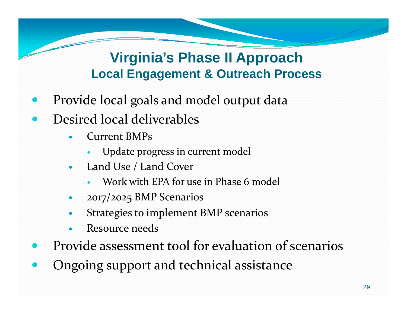# **Virginia s' Phase II Approach Local Engagement & Outreach Process**

- $\bullet$ • Provide local goals and model output data
- $\bullet$ • Desired local deliverables
	- 0 Current BMPs
		- O Update progress in current model
	- 0 Land Use / Land Cover
		- 0 Work with EPA for use in Phase 6 model
	- 0 2017/2025 BMP Scenarios
	- 0 Strategies to implement BMP scenarios
	- 0 Resource needs
- $\bullet$ Provide assessment tool for evaluation of scenarios
- $\bullet$ Ongoing suppor<sup>t</sup> and technical assistance